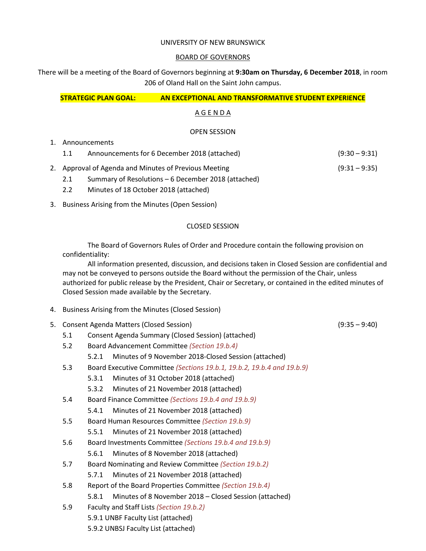#### UNIVERSITY OF NEW BRUNSWICK

#### BOARD OF GOVERNORS

There will be a meeting of the Board of Governors beginning at **9:30am on Thursday, 6 December 2018**, in room 206 of Oland Hall on the Saint John campus.

**STRATEGIC PLAN GOAL: AN EXCEPTIONAL AND TRANSFORMATIVE STUDENT EXPERIENCE**

## A G E N D A

### OPEN SESSION

- 1. Announcements
	- 1.1 Announcements for 6 December 2018 (attached) (9:30 9:31)
- 2. Approval of Agenda and Minutes of Previous Meeting (9:31 9:35)

- 2.1 Summary of Resolutions 6 December 2018 (attached)
- 2.2 Minutes of 18 October 2018 (attached)
- 3. Business Arising from the Minutes (Open Session)

# CLOSED SESSION

The Board of Governors Rules of Order and Procedure contain the following provision on confidentiality:

All information presented, discussion, and decisions taken in Closed Session are confidential and may not be conveyed to persons outside the Board without the permission of the Chair, unless authorized for public release by the President, Chair or Secretary, or contained in the edited minutes of Closed Session made available by the Secretary.

- 4. Business Arising from the Minutes (Closed Session)
- 5. Consent Agenda Matters (Closed Session) (9:35 9:40)
	- 5.1 Consent Agenda Summary (Closed Session) (attached)
	- 5.2 Board Advancement Committee *(Section 19.b.4)*

5.2.1 Minutes of 9 November 2018-Closed Session (attached)

- 5.3 Board Executive Committee *(Sections 19.b.1, 19.b.2, 19.b.4 and 19.b.9)*
	- 5.3.1 Minutes of 31 October 2018 (attached)
	- 5.3.2 Minutes of 21 November 2018 (attached)
- 5.4 Board Finance Committee *(Sections 19.b.4 and 19.b.9)*

5.4.1 Minutes of 21 November 2018 (attached)

- 5.5 Board Human Resources Committee *(Section 19.b.9)*
	- 5.5.1 Minutes of 21 November 2018 (attached)
- 5.6 Board Investments Committee *(Sections 19.b.4 and 19.b.9)*
	- 5.6.1 Minutes of 8 November 2018 (attached)
- 5.7 Board Nominating and Review Committee *(Section 19.b.2)*
	- 5.7.1 Minutes of 21 November 2018 (attached)
- 5.8 Report of the Board Properties Committee *(Section 19.b.4)*
	- 5.8.1 Minutes of 8 November 2018 Closed Session (attached)
- 5.9 Faculty and Staff Lists *(Section 19.b.2)* 5.9.1 UNBF Faculty List (attached) 5.9.2 UNBSJ Faculty List (attached)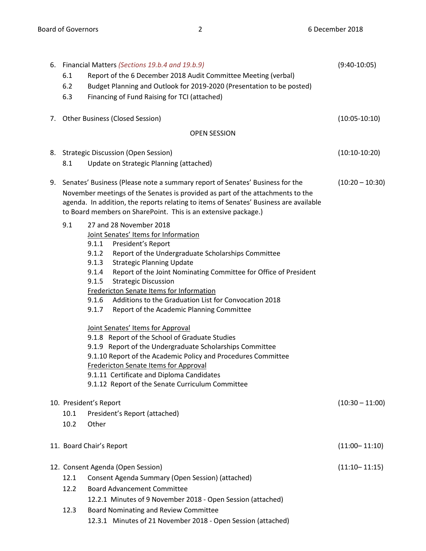|    | 6.1<br>6.2             | 6. Financial Matters (Sections 19.b.4 and 19.b.9)<br>Report of the 6 December 2018 Audit Committee Meeting (verbal)<br>Budget Planning and Outlook for 2019-2020 (Presentation to be posted)                                                                                                                                                                                                                                                                                                                                                                                        | $(9:40-10:05)$    |
|----|------------------------|-------------------------------------------------------------------------------------------------------------------------------------------------------------------------------------------------------------------------------------------------------------------------------------------------------------------------------------------------------------------------------------------------------------------------------------------------------------------------------------------------------------------------------------------------------------------------------------|-------------------|
|    | 6.3                    | Financing of Fund Raising for TCI (attached)                                                                                                                                                                                                                                                                                                                                                                                                                                                                                                                                        |                   |
|    |                        | 7. Other Business (Closed Session)                                                                                                                                                                                                                                                                                                                                                                                                                                                                                                                                                  | $(10:05-10:10)$   |
|    |                        | <b>OPEN SESSION</b>                                                                                                                                                                                                                                                                                                                                                                                                                                                                                                                                                                 |                   |
|    |                        | 8. Strategic Discussion (Open Session)                                                                                                                                                                                                                                                                                                                                                                                                                                                                                                                                              | $(10:10-10:20)$   |
|    | 8.1                    | Update on Strategic Planning (attached)                                                                                                                                                                                                                                                                                                                                                                                                                                                                                                                                             |                   |
| 9. |                        | Senates' Business (Please note a summary report of Senates' Business for the<br>November meetings of the Senates is provided as part of the attachments to the<br>agenda. In addition, the reports relating to items of Senates' Business are available<br>to Board members on SharePoint. This is an extensive package.)                                                                                                                                                                                                                                                           | $(10:20 - 10:30)$ |
|    | 9.1                    | 27 and 28 November 2018<br>Joint Senates' Items for Information                                                                                                                                                                                                                                                                                                                                                                                                                                                                                                                     |                   |
|    |                        | President's Report<br>9.1.1<br>Report of the Undergraduate Scholarships Committee<br>9.1.2<br><b>Strategic Planning Update</b><br>9.1.3<br>9.1.4<br>Report of the Joint Nominating Committee for Office of President<br><b>Strategic Discussion</b><br>9.1.5<br>Fredericton Senate Items for Information<br>Additions to the Graduation List for Convocation 2018<br>9.1.6<br>9.1.7<br>Report of the Academic Planning Committee<br>Joint Senates' Items for Approval<br>9.1.8 Report of the School of Graduate Studies<br>9.1.9 Report of the Undergraduate Scholarships Committee |                   |
|    |                        | 9.1.10 Report of the Academic Policy and Procedures Committee                                                                                                                                                                                                                                                                                                                                                                                                                                                                                                                       |                   |
|    |                        | Fredericton Senate Items for Approval<br>9.1.11 Certificate and Diploma Candidates                                                                                                                                                                                                                                                                                                                                                                                                                                                                                                  |                   |
|    |                        | 9.1.12 Report of the Senate Curriculum Committee                                                                                                                                                                                                                                                                                                                                                                                                                                                                                                                                    |                   |
|    | 10. President's Report |                                                                                                                                                                                                                                                                                                                                                                                                                                                                                                                                                                                     | $(10:30 - 11:00)$ |
|    | 10.1                   | President's Report (attached)                                                                                                                                                                                                                                                                                                                                                                                                                                                                                                                                                       |                   |
|    | 10.2                   | Other                                                                                                                                                                                                                                                                                                                                                                                                                                                                                                                                                                               |                   |
|    |                        | 11. Board Chair's Report                                                                                                                                                                                                                                                                                                                                                                                                                                                                                                                                                            | $(11:00 - 11:10)$ |
|    |                        | 12. Consent Agenda (Open Session)                                                                                                                                                                                                                                                                                                                                                                                                                                                                                                                                                   | $(11:10 - 11:15)$ |
|    | 12.1                   | Consent Agenda Summary (Open Session) (attached)                                                                                                                                                                                                                                                                                                                                                                                                                                                                                                                                    |                   |
|    | 12.2                   | <b>Board Advancement Committee</b>                                                                                                                                                                                                                                                                                                                                                                                                                                                                                                                                                  |                   |
|    |                        | 12.2.1 Minutes of 9 November 2018 - Open Session (attached)                                                                                                                                                                                                                                                                                                                                                                                                                                                                                                                         |                   |
|    | 12.3                   | Board Nominating and Review Committee                                                                                                                                                                                                                                                                                                                                                                                                                                                                                                                                               |                   |
|    |                        | 12.3.1 Minutes of 21 November 2018 - Open Session (attached)                                                                                                                                                                                                                                                                                                                                                                                                                                                                                                                        |                   |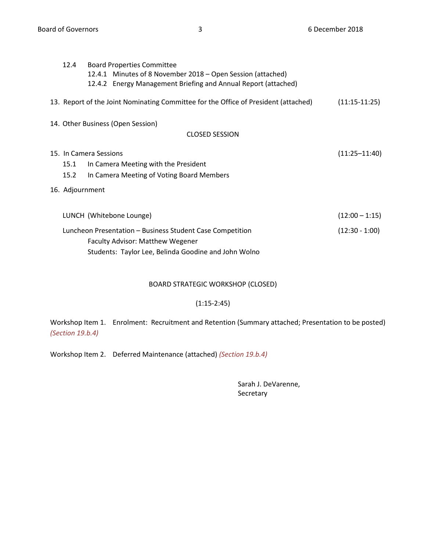| 12.4                                                      | <b>Board Properties Committee</b>                                                   |                  |  |  |  |
|-----------------------------------------------------------|-------------------------------------------------------------------------------------|------------------|--|--|--|
|                                                           | 12.4.1 Minutes of 8 November 2018 – Open Session (attached)                         |                  |  |  |  |
|                                                           | 12.4.2 Energy Management Briefing and Annual Report (attached)                      |                  |  |  |  |
|                                                           |                                                                                     |                  |  |  |  |
|                                                           | 13. Report of the Joint Nominating Committee for the Office of President (attached) | $(11:15-11:25)$  |  |  |  |
|                                                           |                                                                                     |                  |  |  |  |
|                                                           | 14. Other Business (Open Session)                                                   |                  |  |  |  |
| <b>CLOSED SESSION</b>                                     |                                                                                     |                  |  |  |  |
|                                                           |                                                                                     |                  |  |  |  |
| 15. In Camera Sessions<br>$(11:25 - 11:40)$               |                                                                                     |                  |  |  |  |
| 15.1                                                      | In Camera Meeting with the President                                                |                  |  |  |  |
| 15.2                                                      | In Camera Meeting of Voting Board Members                                           |                  |  |  |  |
|                                                           |                                                                                     |                  |  |  |  |
| 16. Adjournment                                           |                                                                                     |                  |  |  |  |
|                                                           |                                                                                     |                  |  |  |  |
|                                                           | LUNCH (Whitebone Lounge)                                                            | $(12:00 - 1:15)$ |  |  |  |
|                                                           |                                                                                     |                  |  |  |  |
| Luncheon Presentation - Business Student Case Competition |                                                                                     | $(12:30 - 1:00)$ |  |  |  |
|                                                           | <b>Faculty Advisor: Matthew Wegener</b>                                             |                  |  |  |  |
|                                                           | Students: Taylor Lee, Belinda Goodine and John Wolno                                |                  |  |  |  |
|                                                           |                                                                                     |                  |  |  |  |

# BOARD STRATEGIC WORKSHOP (CLOSED)

## (1:15-2:45)

Workshop Item 1. Enrolment: Recruitment and Retention (Summary attached; Presentation to be posted) *(Section 19.b.4)*

Workshop Item 2. Deferred Maintenance (attached) *(Section 19.b.4)*

Sarah J. DeVarenne, Secretary